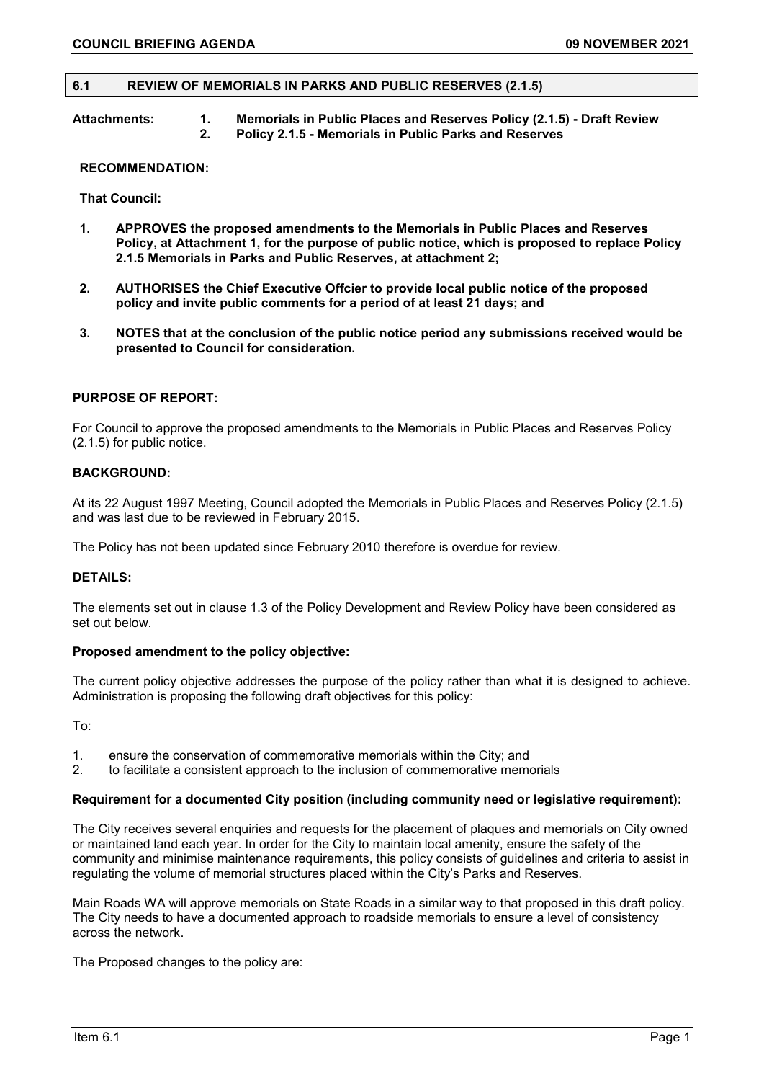### **6.1 REVIEW OF MEMORIALS IN PARKS AND PUBLIC RESERVES (2.1.5)**

**Attachments: 1. Memorials in Public Places and Reserves Policy (2.1.5) - Draft Review 2. Policy 2.1.5 - Memorials in Public Parks and Reserves** 

#### **RECOMMENDATION:**

**That Council:**

- **1. APPROVES the proposed amendments to the Memorials in Public Places and Reserves Policy, at Attachment 1, for the purpose of public notice, which is proposed to replace Policy 2.1.5 Memorials in Parks and Public Reserves, at attachment 2;**
- **2. AUTHORISES the Chief Executive Offcier to provide local public notice of the proposed policy and invite public comments for a period of at least 21 days; and**
- **3. NOTES that at the conclusion of the public notice period any submissions received would be presented to Council for consideration.**

## **PURPOSE OF REPORT:**

For Council to approve the proposed amendments to the Memorials in Public Places and Reserves Policy (2.1.5) for public notice.

### **BACKGROUND:**

At its 22 August 1997 Meeting, Council adopted the Memorials in Public Places and Reserves Policy (2.1.5) and was last due to be reviewed in February 2015.

The Policy has not been updated since February 2010 therefore is overdue for review.

### **DETAILS:**

The elements set out in clause 1.3 of the Policy Development and Review Policy have been considered as set out below.

### **Proposed amendment to the policy objective:**

The current policy objective addresses the purpose of the policy rather than what it is designed to achieve. Administration is proposing the following draft objectives for this policy:

To:

- 1. ensure the conservation of commemorative memorials within the City; and 2. to facilitate a consistent approach to the inclusion of commemorative memor
- 2. to facilitate a consistent approach to the inclusion of commemorative memorials

#### **Requirement for a documented City position (including community need or legislative requirement):**

The City receives several enquiries and requests for the placement of plaques and memorials on City owned or maintained land each year. In order for the City to maintain local amenity, ensure the safety of the community and minimise maintenance requirements, this policy consists of guidelines and criteria to assist in regulating the volume of memorial structures placed within the City's Parks and Reserves.

Main Roads WA will approve memorials on State Roads in a similar way to that proposed in this draft policy. The City needs to have a documented approach to roadside memorials to ensure a level of consistency across the network.

The Proposed changes to the policy are: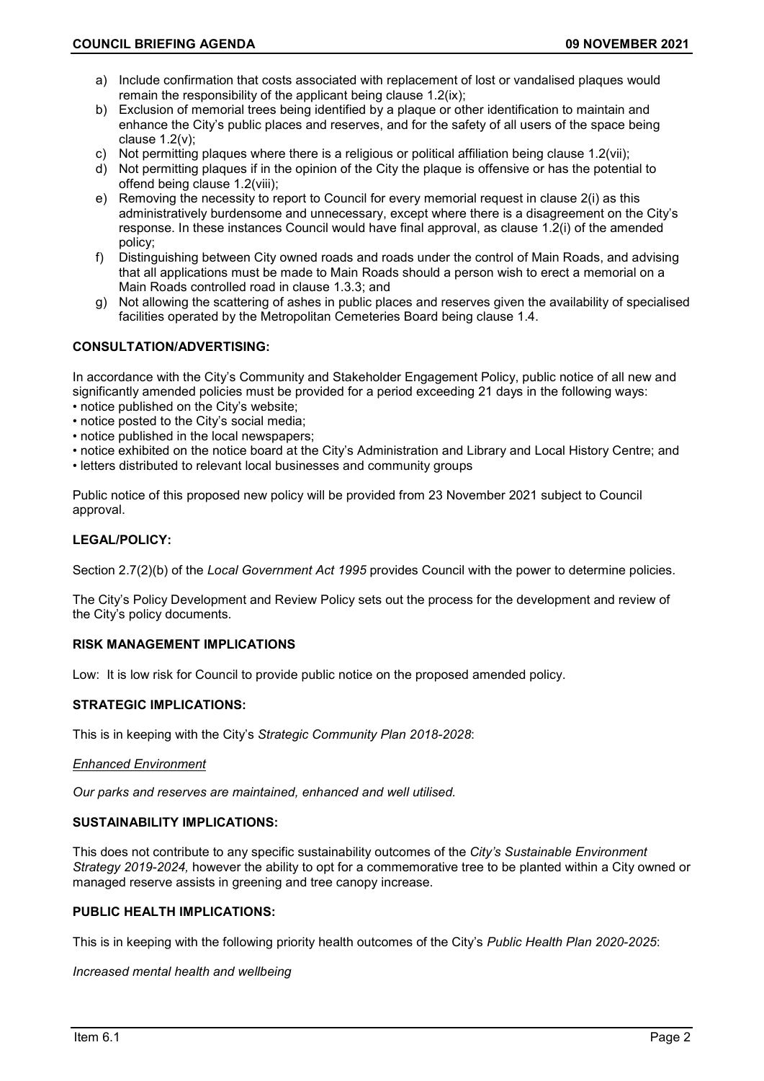- a) Include confirmation that costs associated with replacement of lost or vandalised plaques would remain the responsibility of the applicant being clause 1.2(ix);
- b) Exclusion of memorial trees being identified by a plaque or other identification to maintain and enhance the City's public places and reserves, and for the safety of all users of the space being clause 1.2(v);
- c) Not permitting plaques where there is a religious or political affiliation being clause 1.2(vii);
- d) Not permitting plaques if in the opinion of the City the plaque is offensive or has the potential to offend being clause 1.2(viii);
- e) Removing the necessity to report to Council for every memorial request in clause 2(i) as this administratively burdensome and unnecessary, except where there is a disagreement on the City's response. In these instances Council would have final approval, as clause 1.2(i) of the amended policy;
- f) Distinguishing between City owned roads and roads under the control of Main Roads, and advising that all applications must be made to Main Roads should a person wish to erect a memorial on a Main Roads controlled road in clause 1.3.3; and
- g) Not allowing the scattering of ashes in public places and reserves given the availability of specialised facilities operated by the Metropolitan Cemeteries Board being clause 1.4.

## **CONSULTATION/ADVERTISING:**

In accordance with the City's Community and Stakeholder Engagement Policy, public notice of all new and significantly amended policies must be provided for a period exceeding 21 days in the following ways:

- notice published on the City's website;
- notice posted to the City's social media;
- notice published in the local newspapers;
- notice exhibited on the notice board at the City's Administration and Library and Local History Centre; and
- letters distributed to relevant local businesses and community groups

Public notice of this proposed new policy will be provided from 23 November 2021 subject to Council approval.

## **LEGAL/POLICY:**

Section 2.7(2)(b) of the *Local Government Act 1995* provides Council with the power to determine policies.

The City's Policy Development and Review Policy sets out the process for the development and review of the City's policy documents.

## **RISK MANAGEMENT IMPLICATIONS**

Low: It is low risk for Council to provide public notice on the proposed amended policy.

## **STRATEGIC IMPLICATIONS:**

This is in keeping with the City's *Strategic Community Plan 2018-2028*:

### *Enhanced Environment*

*Our parks and reserves are maintained, enhanced and well utilised.*

## **SUSTAINABILITY IMPLICATIONS:**

This does not contribute to any specific sustainability outcomes of the *City's Sustainable Environment Strategy 2019-2024,* however the ability to opt for a commemorative tree to be planted within a City owned or managed reserve assists in greening and tree canopy increase.

### **PUBLIC HEALTH IMPLICATIONS:**

This is in keeping with the following priority health outcomes of the City's *Public Health Plan 2020-2025*:

### *Increased mental health and wellbeing*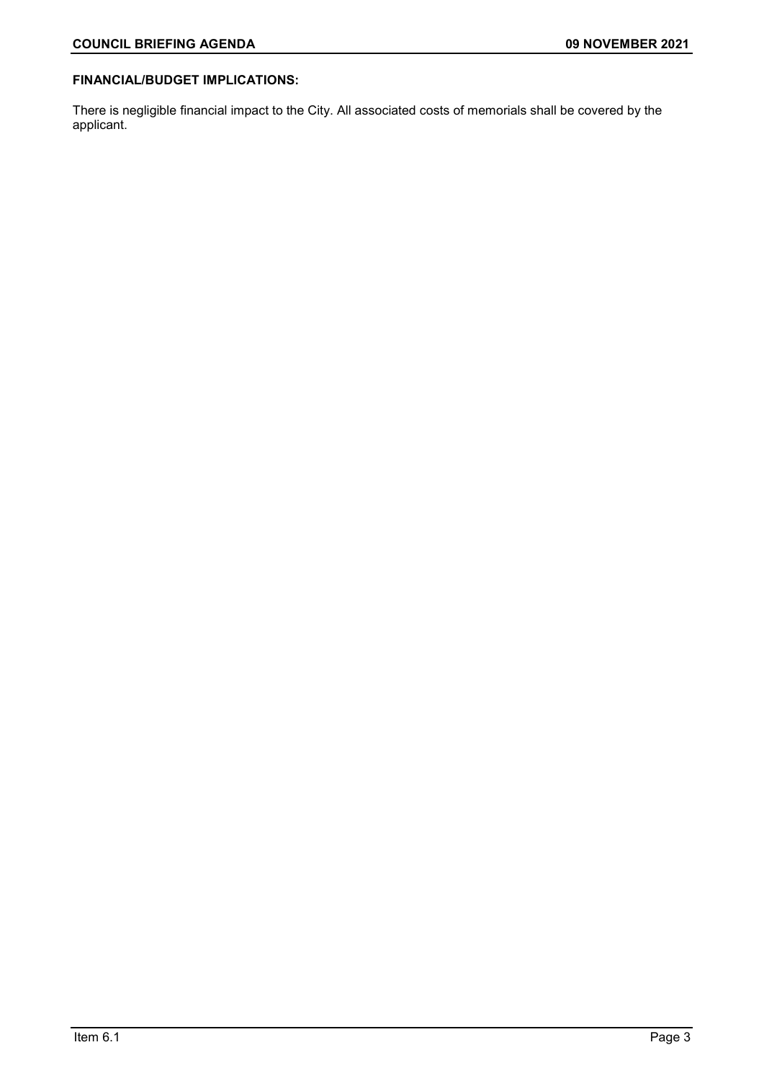# **FINANCIAL/BUDGET IMPLICATIONS:**

There is negligible financial impact to the City. All associated costs of memorials shall be covered by the applicant.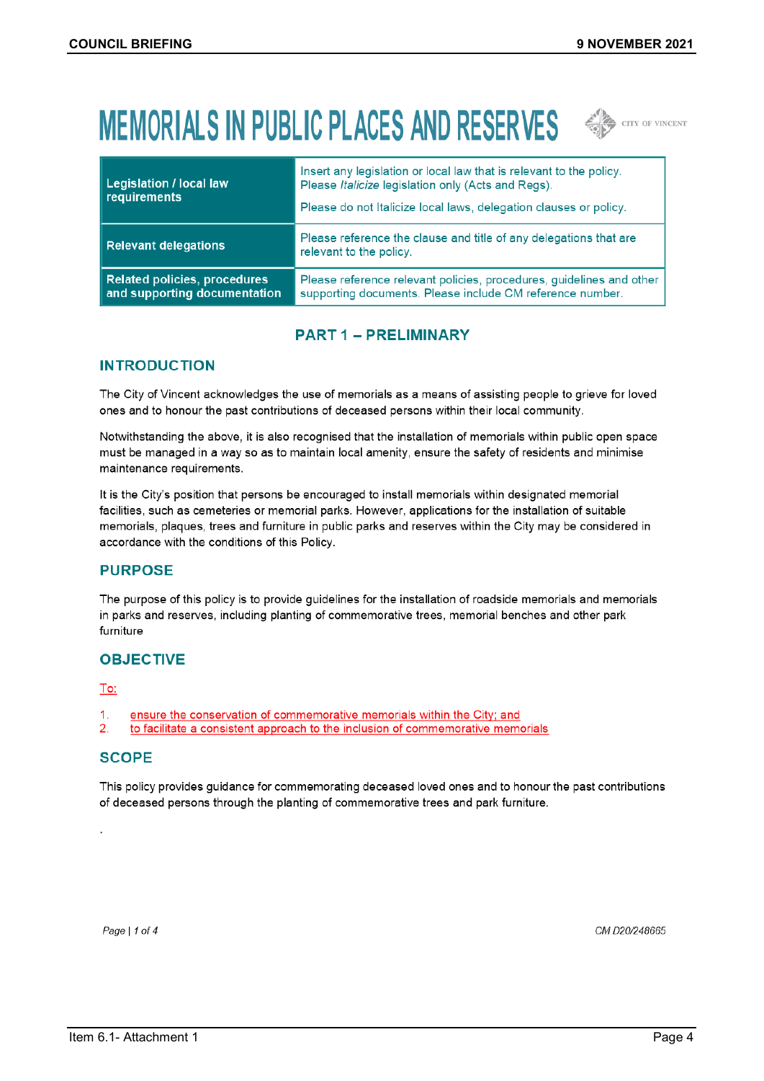# **MEMORIALS IN PUBLIC PLACES AND RESERVES**  $\iff$  CITY OF VINCENT



| <b>Legislation / local law</b><br>requirements               | Insert any legislation or local law that is relevant to the policy.<br>Please Italicize legislation only (Acts and Regs).<br>Please do not Italicize local laws, delegation clauses or policy. |
|--------------------------------------------------------------|------------------------------------------------------------------------------------------------------------------------------------------------------------------------------------------------|
| Relevant delegations                                         | Please reference the clause and title of any delegations that are<br>relevant to the policy.                                                                                                   |
| Related policies, procedures<br>and supporting documentation | Please reference relevant policies, procedures, guidelines and other<br>supporting documents. Please include CM reference number.                                                              |

# **PART 1 - PRELIMINARY**

# **INTRODUCTION**

The City of Vincent acknowledges the use of memorials as a means of assisting people to grieve for loved ones and to honour the past contributions of deceased persons within their local community.

Notwithstanding the above, it is also recognised that the installation of memorials within public open space must be managed in a way so as to maintain local amenity, ensure the safety of residents and minimise maintenance requirements.

It is the City's position that persons be encouraged to install memorials within designated memorial facilities, such as cemeteries or memorial parks. However, applications for the installation of suitable memorials, plaques, trees and furniture in public parks and reserves within the City may be considered in accordance with the conditions of this Policy.

# **PURPOSE**

The purpose of this policy is to provide guidelines for the installation of roadside memorials and memorials in parks and reserves, including planting of commemorative trees, memorial benches and other park furniture

# **OBJECTIVE**

## To:

- $\mathbf{1}$ ensure the conservation of commemorative memorials within the City; and
- $2.$ to facilitate a consistent approach to the inclusion of commemorative memorials

# **SCOPE**

This policy provides guidance for commemorating deceased loved ones and to honour the past contributions of deceased persons through the planting of commemorative trees and park furniture.

Page | 1 of 4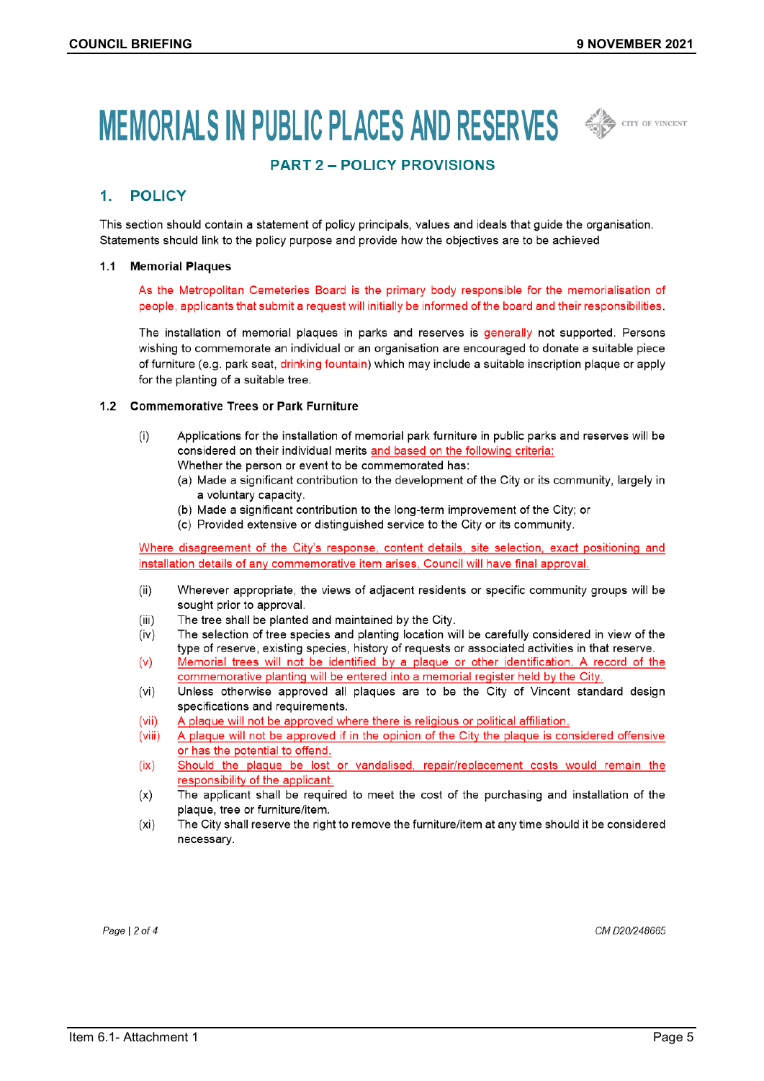CITY OF VINCENT

# MEMORIALS IN PUBLIC PLACES AND RESERVES  $\iff$



#### **POLICY**  $1<sup>1</sup>$

This section should contain a statement of policy principals, values and ideals that guide the organisation. Statements should link to the policy purpose and provide how the objectives are to be achieved

#### 1.1 Memorial Plaques

As the Metropolitan Cemeteries Board is the primary body responsible for the memorialisation of people, applicants that submit a request will initially be informed of the board and their responsibilities.

The installation of memorial plaques in parks and reserves is generally not supported. Persons wishing to commemorate an individual or an organisation are encouraged to donate a suitable piece of furniture (e.g. park seat, drinking fountain) which may include a suitable inscription plaque or apply for the planting of a suitable tree.

### 1.2 Commemorative Trees or Park Furniture

- $(i)$ Applications for the installation of memorial park furniture in public parks and reserves will be considered on their individual merits and based on the following criteria: Whether the person or event to be commemorated has:
	- (a) Made a significant contribution to the development of the City or its community, largely in
		- a voluntary capacity.
		- (b) Made a significant contribution to the long-term improvement of the City; or
		- (c) Provided extensive or distinguished service to the City or its community.

Where disagreement of the City's response, content details, site selection, exact positioning and installation details of any commemorative item arises, Council will have final approval.

- $(ii)$ Wherever appropriate, the views of adjacent residents or specific community groups will be sought prior to approval.
- $(iii)$ The tree shall be planted and maintained by the City.
- $(iv)$ The selection of tree species and planting location will be carefully considered in view of the type of reserve, existing species, history of requests or associated activities in that reserve.
- $(v)$ Memorial trees will not be identified by a plaque or other identification. A record of the commemorative planting will be entered into a memorial register held by the City.
- $(vi)$ Unless otherwise approved all plaques are to be the City of Vincent standard design specifications and requirements.
- $(vii)$ A plaque will not be approved where there is religious or political affiliation.
- A plaque will not be approved if in the opinion of the City the plaque is considered offensive  $(viii)$ or has the potential to offend.
- $(ix)$ Should the plaque be lost or vandalised, repair/replacement costs would remain the responsibility of the applicant.
- The applicant shall be required to meet the cost of the purchasing and installation of the  $(x)$ plaque, tree or furniture/item.
- $(x<sub>i</sub>)$ The City shall reserve the right to remove the furniture/item at any time should it be considered necessary.

Page  $|2$  of 4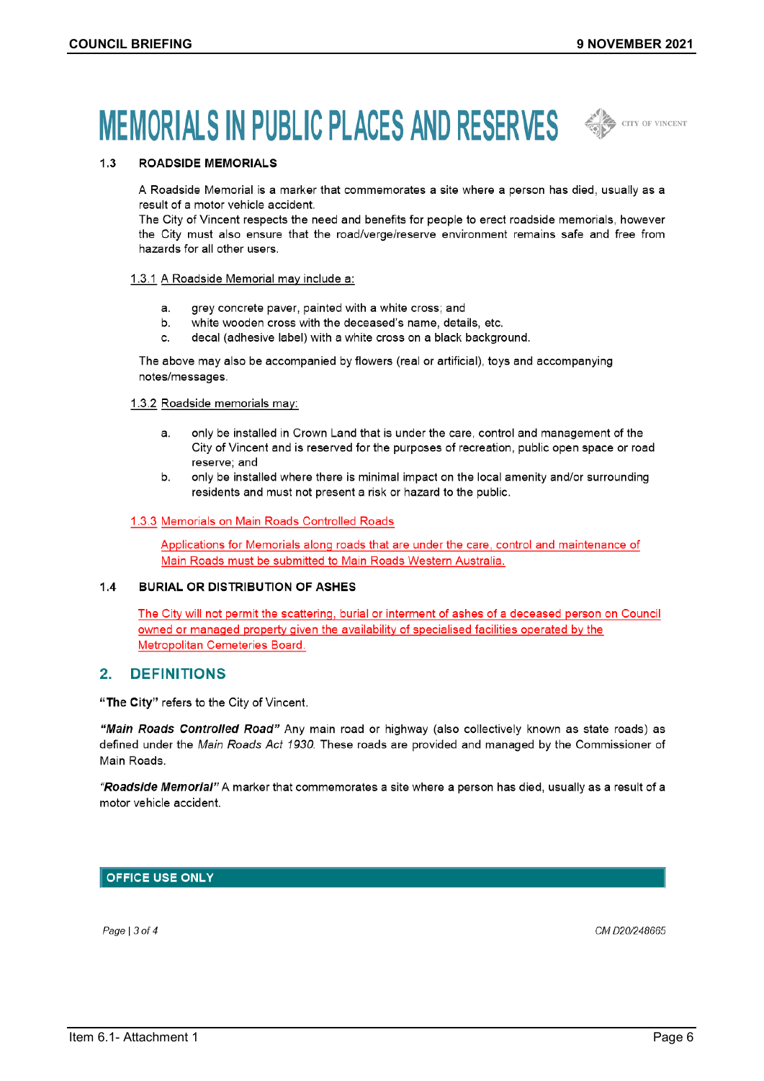# MEMORIALS IN PUBLIC PLACES AND RESERVES  $\iff$



#### **ROADSIDE MEMORIALS**  $1.3$

A Roadside Memorial is a marker that commemorates a site where a person has died, usually as a result of a motor vehicle accident.

The City of Vincent respects the need and benefits for people to erect roadside memorials, however the City must also ensure that the road/verge/reserve environment remains safe and free from hazards for all other users.

#### 1.3.1 A Roadside Memorial may include a:

- grey concrete paver, painted with a white cross; and  $a<sub>1</sub>$
- b. white wooden cross with the deceased's name, details, etc.
- decal (adhesive label) with a white cross on a black background.  $\mathbf{C}$

The above may also be accompanied by flowers (real or artificial), toys and accompanying notes/messages.

#### 1.3.2 Roadside memorials may:

- only be installed in Crown Land that is under the care, control and management of the  $a<sub>1</sub>$ City of Vincent and is reserved for the purposes of recreation, public open space or road reserve; and
- $h$ only be installed where there is minimal impact on the local amenity and/or surrounding residents and must not present a risk or hazard to the public.

#### 1.3.3 Memorials on Main Roads Controlled Roads

Applications for Memorials along roads that are under the care, control and maintenance of Main Roads must be submitted to Main Roads Western Australia.

#### $1.4$ **BURIAL OR DISTRIBUTION OF ASHES**

The City will not permit the scattering, burial or interment of ashes of a deceased person on Council owned or managed property given the availability of specialised facilities operated by the Metropolitan Cemeteries Board.

#### $2<sub>1</sub>$ **DEFINITIONS**

"The City" refers to the City of Vincent.

"Main Roads Controlled Road" Any main road or highway (also collectively known as state roads) as defined under the Main Roads Act 1930. These roads are provided and managed by the Commissioner of Main Roads.

"Roadside Memorial" A marker that commemorates a site where a person has died, usually as a result of a motor vehicle accident.

## **OFFICE USE ONLY**

Page  $|3$  of 4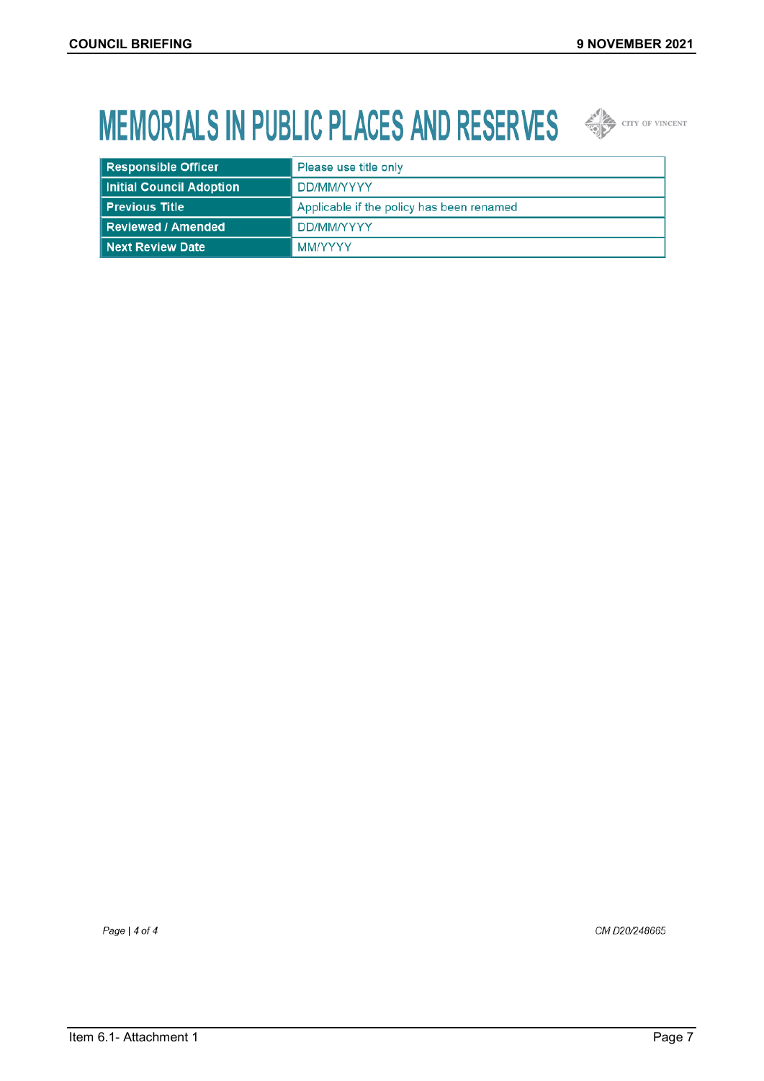# **MEMORIALS IN PUBLIC PLACES AND RESERVES**  $\iff$  CETY OF VINCENT



| <b>Responsible Officer</b> | Please use title only                     |
|----------------------------|-------------------------------------------|
| Initial Council Adoption   | DD/MM/YYYY                                |
| Previous Title             | Applicable if the policy has been renamed |
| Reviewed / Amended         | DD/MM/YYYY                                |
| Next Review Date           | <b>MM/YYYY</b>                            |

Page | 4 of 4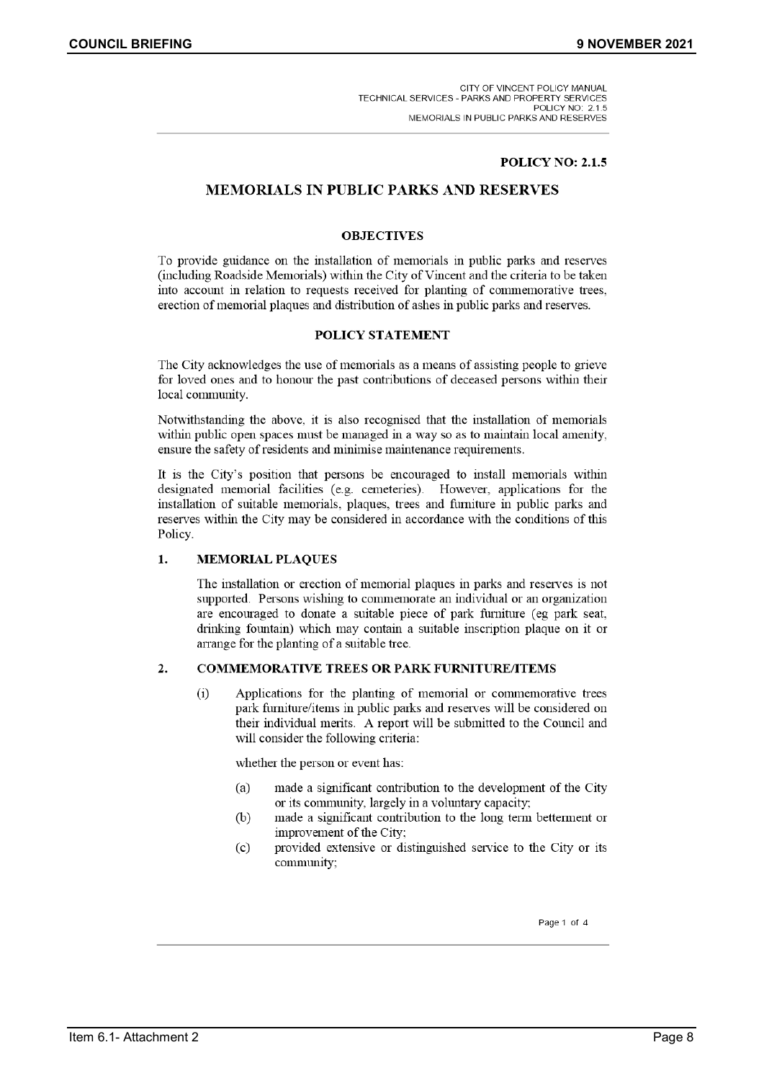### **POLICY NO: 2.1.5**

# **MEMORIALS IN PUBLIC PARKS AND RESERVES**

### **OBJECTIVES**

To provide guidance on the installation of memorials in public parks and reserves (including Roadside Memorials) within the City of Vincent and the criteria to be taken into account in relation to requests received for planting of commemorative trees, erection of memorial plaques and distribution of ashes in public parks and reserves.

### **POLICY STATEMENT**

The City acknowledges the use of memorials as a means of assisting people to grieve for loved ones and to honour the past contributions of deceased persons within their local community.

Notwithstanding the above, it is also recognised that the installation of memorials within public open spaces must be managed in a way so as to maintain local amenity, ensure the safety of residents and minimise maintenance requirements.

It is the City's position that persons be encouraged to install memorials within designated memorial facilities (e.g. cemeteries). However, applications for the installation of suitable memorials, plaques, trees and furniture in public parks and reserves within the City may be considered in accordance with the conditions of this Policy.

#### 1. **MEMORIAL PLAQUES**

The installation or erection of memorial plaques in parks and reserves is not supported. Persons wishing to commemorate an individual or an organization are encouraged to donate a suitable piece of park furniture (eg park seat, drinking fountain) which may contain a suitable inscription plaque on it or arrange for the planting of a suitable tree.

#### **COMMEMORATIVE TREES OR PARK FURNITURE/ITEMS**  $2.$

Applications for the planting of memorial or commemorative trees  $(i)$ park furniture/items in public parks and reserves will be considered on their individual merits. A report will be submitted to the Council and will consider the following criteria:

whether the person or event has:

- (a) made a significant contribution to the development of the City or its community, largely in a voluntary capacity;
- $(b)$ made a significant contribution to the long term betterment or improvement of the City;
- $(c)$ provided extensive or distinguished service to the City or its community;

Page 1 of 4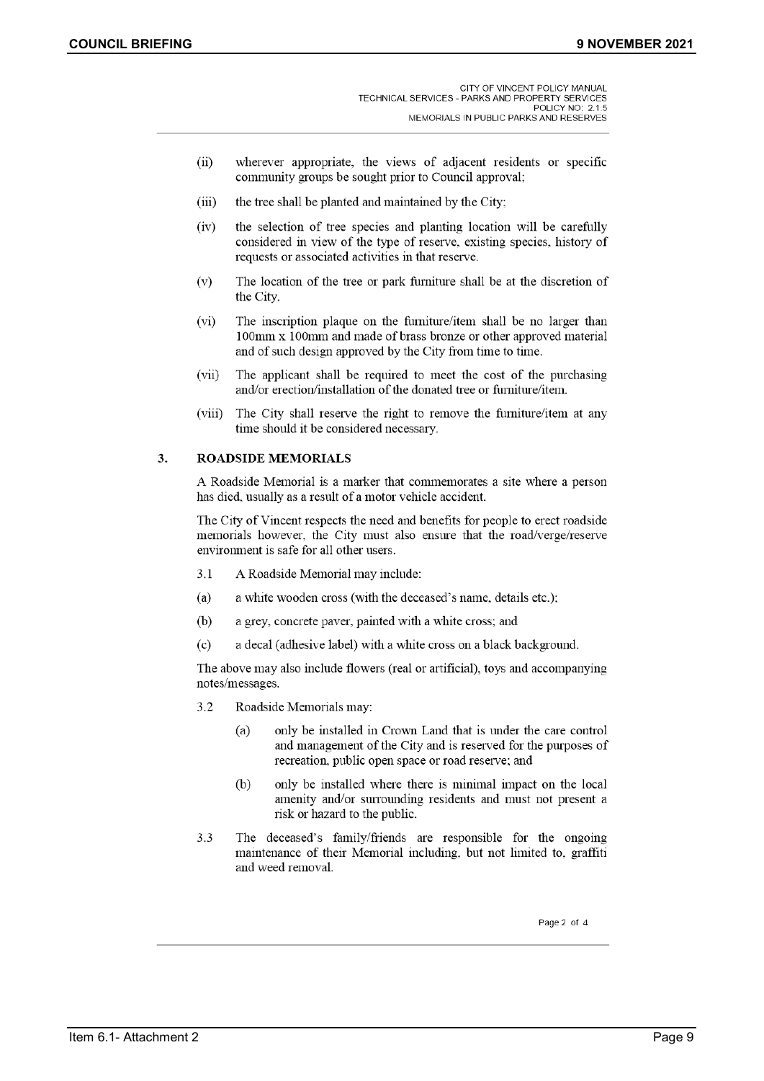- $(ii)$ wherever appropriate, the views of adjacent residents or specific community groups be sought prior to Council approval:
- $(iii)$ the tree shall be planted and maintained by the City;
- $(iv)$ the selection of tree species and planting location will be carefully considered in view of the type of reserve, existing species, history of requests or associated activities in that reserve.
- $(v)$ The location of the tree or park furniture shall be at the discretion of the City.
- The inscription plaque on the furniture/item shall be no larger than  $(vi)$ 100mm x 100mm and made of brass bronze or other approved material and of such design approved by the City from time to time.
- $(vii)$ The applicant shall be required to meet the cost of the purchasing and/or erection/installation of the donated tree or furniture/item.
- $(viii)$ The City shall reserve the right to remove the furniture/item at any time should it be considered necessary.

#### **ROADSIDE MEMORIALS**  $3.$

A Roadside Memorial is a marker that commemorates a site where a person has died, usually as a result of a motor vehicle accident.

The City of Vincent respects the need and benefits for people to erect roadside memorials however, the City must also ensure that the road/verge/reserve environment is safe for all other users.

- $3.1$ A Roadside Memorial may include:
- $(a)$ a white wooden cross (with the deceased's name, details etc.);
- a grey, concrete paver, painted with a white cross; and (b)
- a decal (adhesive label) with a white cross on a black background.  $(c)$

The above may also include flowers (real or artificial), toys and accompanying notes/messages.

- $3.2$ Roadside Memorials may:
	- only be installed in Crown Land that is under the care control (a) and management of the City and is reserved for the purposes of recreation, public open space or road reserve; and
	- $(b)$ only be installed where there is minimal impact on the local amenity and/or surrounding residents and must not present a risk or hazard to the public.
- $3.3$ The deceased's family/friends are responsible for the ongoing maintenance of their Memorial including, but not limited to, graffiti and weed removal.

Page 2 of 4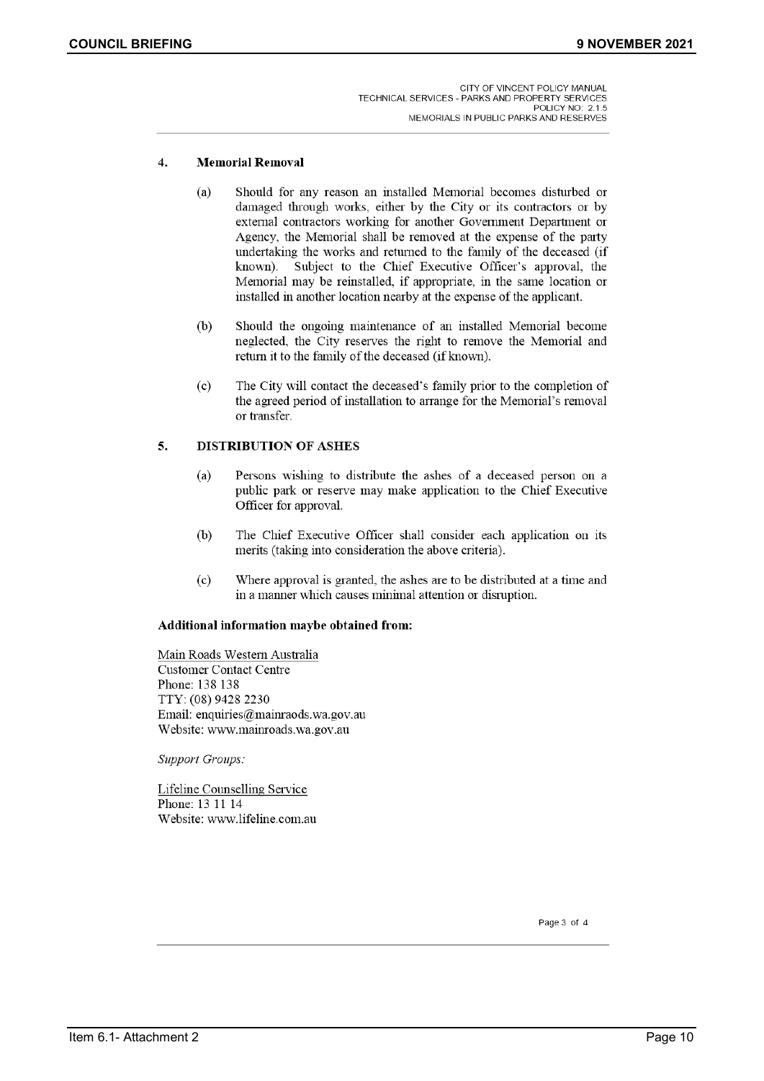#### $4.$ **Memorial Removal**

- Should for any reason an installed Memorial becomes disturbed or  $(a)$ damaged through works, either by the City or its contractors or by external contractors working for another Government Department or Agency, the Memorial shall be removed at the expense of the party undertaking the works and returned to the family of the deceased (if Subject to the Chief Executive Officer's approval, the known). Memorial may be reinstalled, if appropriate, in the same location or installed in another location nearby at the expense of the applicant.
- $(b)$ Should the ongoing maintenance of an installed Memorial become neglected, the City reserves the right to remove the Memorial and return it to the family of the deceased (if known).
- The City will contact the deceased's family prior to the completion of  $(c)$ the agreed period of installation to arrange for the Memorial's removal or transfer.

#### $\overline{5}$ . **DISTRIBUTION OF ASHES**

- $(a)$ Persons wishing to distribute the ashes of a deceased person on a public park or reserve may make application to the Chief Executive Officer for approval.
- $(b)$ The Chief Executive Officer shall consider each application on its merits (taking into consideration the above criteria).
- $(c)$ Where approval is granted, the ashes are to be distributed at a time and in a manner which causes minimal attention or disruption.

#### Additional information maybe obtained from:

Main Roads Western Australia **Customer Contact Centre** Phone: 138 138 TTY: (08) 9428 2230 Email: enquiries@mainraods.wa.gov.au Website: www.mainroads.wa.gov.au

**Support Groups:** 

Lifeline Counselling Service Phone: 13 11 14 Website: www.lifeline.com.au

Page 3 of 4